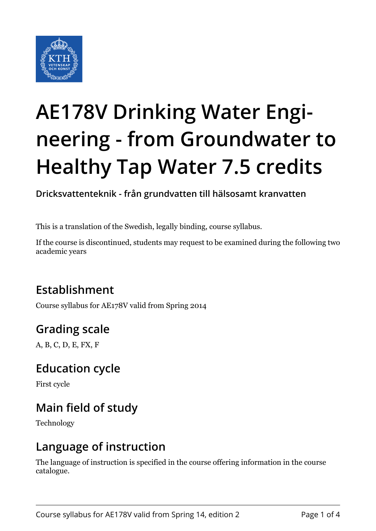

# **AE178V Drinking Water Engineering - from Groundwater to Healthy Tap Water 7.5 credits**

**Dricksvattenteknik - från grundvatten till hälsosamt kranvatten**

This is a translation of the Swedish, legally binding, course syllabus.

If the course is discontinued, students may request to be examined during the following two academic years

# **Establishment**

Course syllabus for AE178V valid from Spring 2014

# **Grading scale**

A, B, C, D, E, FX, F

### **Education cycle**

First cycle

# **Main field of study**

Technology

### **Language of instruction**

The language of instruction is specified in the course offering information in the course catalogue.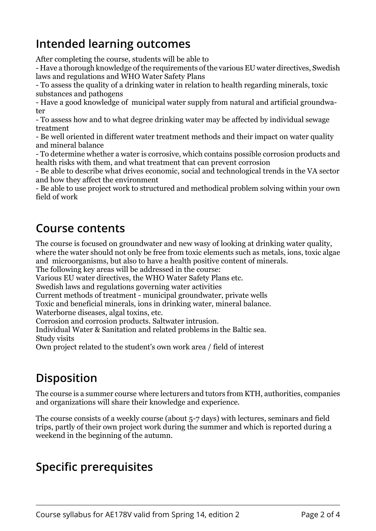# **Intended learning outcomes**

After completing the course, students will be able to

- Have a thorough knowledge of the requirements of the various EU water directives, Swedish laws and regulations and WHO Water Safety Plans

- To assess the quality of a drinking water in relation to health regarding minerals, toxic substances and pathogens

- Have a good knowledge of municipal water supply from natural and artificial groundwater

- To assess how and to what degree drinking water may be affected by individual sewage treatment

- Be well oriented in different water treatment methods and their impact on water quality and mineral balance

- To determine whether a water is corrosive, which contains possible corrosion products and health risks with them, and what treatment that can prevent corrosion

- Be able to describe what drives economic, social and technological trends in the VA sector and how they affect the environment

- Be able to use project work to structured and methodical problem solving within your own field of work

#### **Course contents**

The course is focused on groundwater and new wasy of looking at drinking water quality, where the water should not only be free from toxic elements such as metals, ions, toxic algae and microorganisms, but also to have a health positive content of minerals.

The following key areas will be addressed in the course:

Various EU water directives, the WHO Water Safety Plans etc.

Swedish laws and regulations governing water activities

Current methods of treatment - municipal groundwater, private wells

Toxic and beneficial minerals, ions in drinking water, mineral balance.

Waterborne diseases, algal toxins, etc.

Corrosion and corrosion products. Saltwater intrusion.

Individual Water & Sanitation and related problems in the Baltic sea. Study visits

Own project related to the student's own work area / field of interest

# **Disposition**

The course is a summer course where lecturers and tutors from KTH, authorities, companies and organizations will share their knowledge and experience.

The course consists of a weekly course (about 5-7 days) with lectures, seminars and field trips, partly of their own project work during the summer and which is reported during a weekend in the beginning of the autumn.

# **Specific prerequisites**